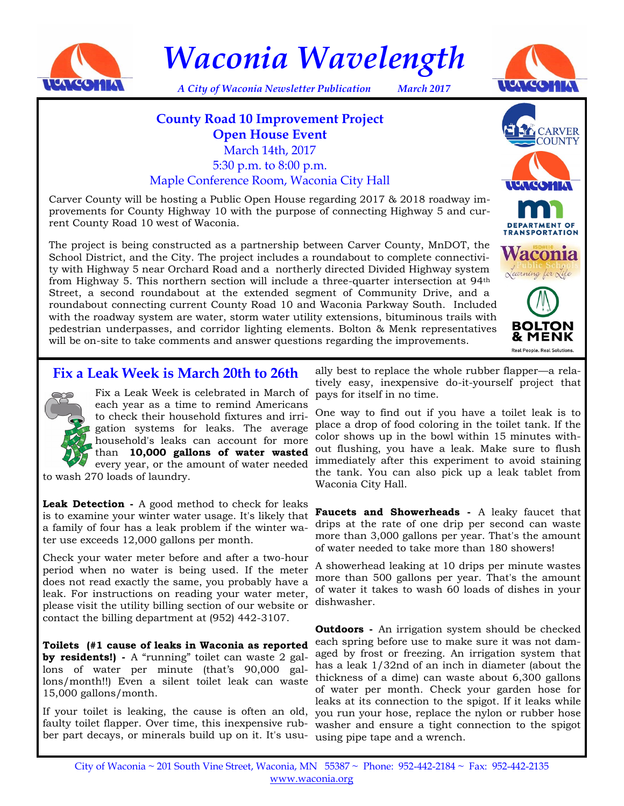

*Waconia Wavelength*



*A City of Waconia Newsletter Publication March 2017*

# **County Road 10 Improvement Project Open House Event** March 14th, 2017 5:30 p.m. to 8:00 p.m. Maple Conference Room, Waconia City Hall

Carver County will be hosting a Public Open House regarding 2017 & 2018 roadway improvements for County Highway 10 with the purpose of connecting Highway 5 and current County Road 10 west of Waconia.

The project is being constructed as a partnership between Carver County, MnDOT, the School District, and the City. The project includes a roundabout to complete connectivity with Highway 5 near Orchard Road and a northerly directed Divided Highway system from Highway 5. This northern section will include a three-quarter intersection at 94th Street, a second roundabout at the extended segment of Community Drive, and a roundabout connecting current County Road 10 and Waconia Parkway South. Included with the roadway system are water, storm water utility extensions, bituminous trails with pedestrian underpasses, and corridor lighting elements. Bolton & Menk representatives will be on-site to take comments and answer questions regarding the improvements.



## **Fix a Leak Week is March 20th to 26th**



Fix a Leak Week is celebrated in March of each year as a time to remind Americans to check their household fixtures and irrigation systems for leaks. The average household's leaks can account for more than **10,000 gallons of water wasted**  every year, or the amount of water needed

to wash 270 loads of laundry.

**Leak Detection -** A good method to check for leaks is to examine your winter water usage. It's likely that a family of four has a leak problem if the winter water use exceeds 12,000 gallons per month.

Check your water meter before and after a two-hour period when no water is being used. If the meter does not read exactly the same, you probably have a leak. For instructions on reading your water meter, please visit the utility billing section of our website or contact the billing department at (952) 442-3107.

**Toilets (#1 cause of leaks in Waconia as reported by residents!) -** A "running" toilet can waste 2 gallons of water per minute (that's 90,000 gallons/month!!) Even a silent toilet leak can waste 15,000 gallons/month.

If your toilet is leaking, the cause is often an old, faulty toilet flapper. Over time, this inexpensive rubber part decays, or minerals build up on it. It's usu-using pipe tape and a wrench.

ally best to replace the whole rubber flapper—a relatively easy, inexpensive do-it-yourself project that pays for itself in no time.

One way to find out if you have a toilet leak is to place a drop of food coloring in the toilet tank. If the color shows up in the bowl within 15 minutes without flushing, you have a leak. Make sure to flush immediately after this experiment to avoid staining the tank. You can also pick up a leak tablet from Waconia City Hall.

**Faucets and Showerheads -** A leaky faucet that drips at the rate of one drip per second can waste more than 3,000 gallons per year. That's the amount of water needed to take more than 180 showers!

A showerhead leaking at 10 drips per minute wastes more than 500 gallons per year. That's the amount of water it takes to wash 60 loads of dishes in your dishwasher.

**Outdoors -** An irrigation system should be checked each spring before use to make sure it was not damaged by frost or freezing. An irrigation system that has a leak 1/32nd of an inch in diameter (about the thickness of a dime) can waste about 6,300 gallons of water per month. Check your garden hose for leaks at its connection to the spigot. If it leaks while you run your hose, replace the nylon or rubber hose washer and ensure a tight connection to the spigot